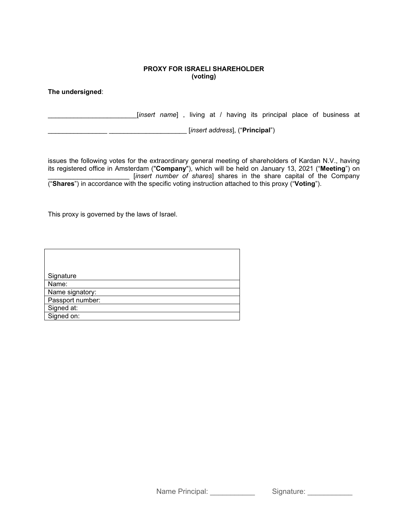## **PROXY FOR ISRAELI SHAREHOLDER (voting)**

**The undersigned**:

\_\_\_\_\_\_\_\_\_\_\_\_\_\_\_\_\_\_\_\_\_\_\_\_[*insert name*] , living at / having its principal place of business at

\_\_\_\_\_\_\_\_\_\_\_\_\_\_\_\_ \_\_\_\_\_\_\_\_\_\_\_\_\_\_\_\_\_\_\_\_\_ [*insert address*], ("**Principal**")

issues the following votes for the extraordinary general meeting of shareholders of Kardan N.V., having its registered office in Amsterdam ("**Company**"), which will be held on January 13, 2021 ("**Meeting**") on \_\_\_\_\_\_\_\_\_\_\_\_\_\_\_\_\_\_\_\_\_\_ [*insert number of shares*] shares in the share capital of the Company ("**Shares**") in accordance with the specific voting instruction attached to this proxy ("**Voting**").

This proxy is governed by the laws of Israel.

| Signature        |
|------------------|
| Name:            |
| Name signatory:  |
| Passport number: |
| Signed at:       |
| Signed on:       |

Name Principal: <br>
Signature: